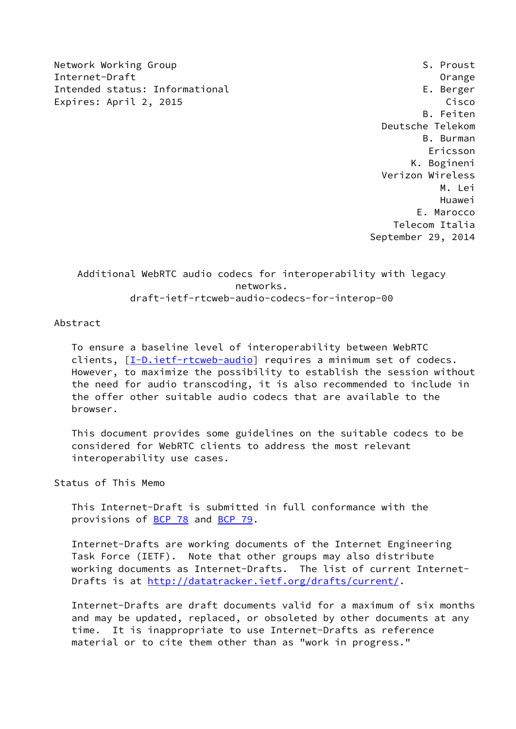Network Working Group S. Proust Internet-Draft Orange Intended status: Informational E. Berger Expires: April 2, 2015 Cisco

 B. Feiten Deutsche Telekom B. Burman Ericsson K. Bogineni Verizon Wireless M. Lei Huawei E. Marocco Telecom Italia September 29, 2014

 Additional WebRTC audio codecs for interoperability with legacy networks. draft-ietf-rtcweb-audio-codecs-for-interop-00

Abstract

 To ensure a baseline level of interoperability between WebRTC clients,  $[I-D.iett-trcweb-audio]$  requires a minimum set of codecs. However, to maximize the possibility to establish the session without the need for audio transcoding, it is also recommended to include in the offer other suitable audio codecs that are available to the browser.

 This document provides some guidelines on the suitable codecs to be considered for WebRTC clients to address the most relevant interoperability use cases.

Status of This Memo

 This Internet-Draft is submitted in full conformance with the provisions of [BCP 78](https://datatracker.ietf.org/doc/pdf/bcp78) and [BCP 79](https://datatracker.ietf.org/doc/pdf/bcp79).

 Internet-Drafts are working documents of the Internet Engineering Task Force (IETF). Note that other groups may also distribute working documents as Internet-Drafts. The list of current Internet- Drafts is at<http://datatracker.ietf.org/drafts/current/>.

 Internet-Drafts are draft documents valid for a maximum of six months and may be updated, replaced, or obsoleted by other documents at any time. It is inappropriate to use Internet-Drafts as reference material or to cite them other than as "work in progress."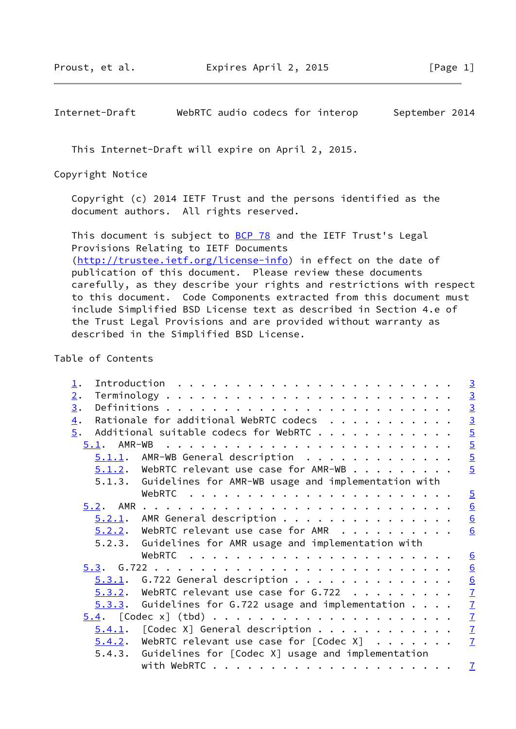Internet-Draft WebRTC audio codecs for interop September 2014

This Internet-Draft will expire on April 2, 2015.

Copyright Notice

 Copyright (c) 2014 IETF Trust and the persons identified as the document authors. All rights reserved.

This document is subject to **[BCP 78](https://datatracker.ietf.org/doc/pdf/bcp78)** and the IETF Trust's Legal Provisions Relating to IETF Documents [\(http://trustee.ietf.org/license-info](http://trustee.ietf.org/license-info)) in effect on the date of publication of this document. Please review these documents carefully, as they describe your rights and restrictions with respect to this document. Code Components extracted from this document must include Simplified BSD License text as described in Section 4.e of the Trust Legal Provisions and are provided without warranty as described in the Simplified BSD License.

Table of Contents

| $\perp$ .        |             |                                                                                                                                                                                                                               |  |  |                         |
|------------------|-------------|-------------------------------------------------------------------------------------------------------------------------------------------------------------------------------------------------------------------------------|--|--|-------------------------|
| 2.               |             |                                                                                                                                                                                                                               |  |  |                         |
| 3.               |             |                                                                                                                                                                                                                               |  |  |                         |
| $\overline{4}$ . |             | Rationale for additional WebRTC codecs                                                                                                                                                                                        |  |  |                         |
| 5.               |             | Additional suitable codecs for WebRTC                                                                                                                                                                                         |  |  |                         |
|                  | 5.1. AMR-WB | . The contract of the contract of the contract of the contract of the contract of the contract of the contract of the contract of the contract of the contract of the contract of the contract of the contract of the contrac |  |  | co lo lo lo lo lo lo lo |
|                  |             | $5.1.1$ . AMR-WB General description                                                                                                                                                                                          |  |  |                         |
|                  |             | $5.1.2$ . WebRTC relevant use case for AMR-WB                                                                                                                                                                                 |  |  |                         |
|                  |             | 5.1.3. Guidelines for AMR-WB usage and implementation with                                                                                                                                                                    |  |  |                         |
|                  |             |                                                                                                                                                                                                                               |  |  | $\frac{5}{2}$           |
|                  |             |                                                                                                                                                                                                                               |  |  | $\frac{6}{6}$           |
|                  |             | $5.2.1$ . AMR General description                                                                                                                                                                                             |  |  |                         |
|                  |             | $5.2.2.$ WebRTC relevant use case for AMR $ \cdot  \cdot$                                                                                                                                                                     |  |  | 6                       |
|                  |             | 5.2.3. Guidelines for AMR usage and implementation with                                                                                                                                                                       |  |  |                         |
|                  |             |                                                                                                                                                                                                                               |  |  | 6                       |
|                  |             |                                                                                                                                                                                                                               |  |  |                         |
|                  |             |                                                                                                                                                                                                                               |  |  |                         |
|                  |             |                                                                                                                                                                                                                               |  |  |                         |
|                  |             |                                                                                                                                                                                                                               |  |  |                         |
|                  |             |                                                                                                                                                                                                                               |  |  |                         |
|                  |             |                                                                                                                                                                                                                               |  |  |                         |
|                  |             |                                                                                                                                                                                                                               |  |  |                         |
|                  |             | 5.4.3. Guidelines for [Codec X] usage and implementation                                                                                                                                                                      |  |  |                         |
|                  |             |                                                                                                                                                                                                                               |  |  | $\mathbf{Z}$            |
|                  |             |                                                                                                                                                                                                                               |  |  |                         |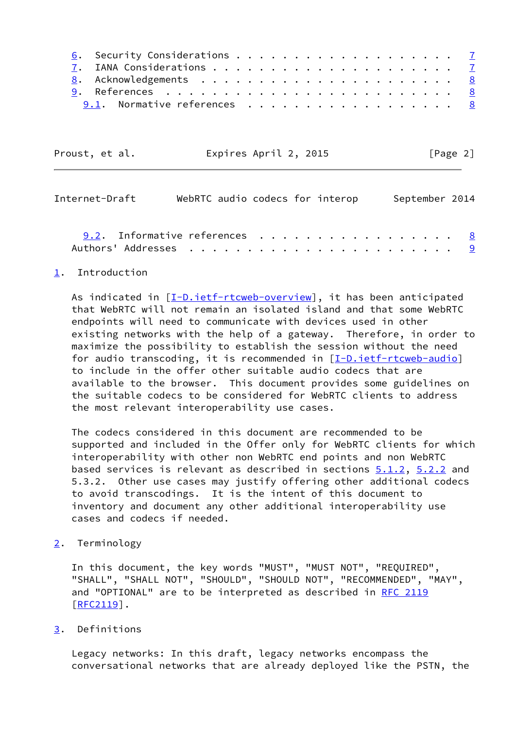| 9.1. Normative references 8 |  |
|-----------------------------|--|

| Proust, et al. | Expires April 2, 2015 | [Page 2] |
|----------------|-----------------------|----------|
|----------------|-----------------------|----------|

<span id="page-2-1"></span>

| Internet-Draft                         | WebRTC audio codecs for interop |  | September 2014 |  |
|----------------------------------------|---------------------------------|--|----------------|--|
| 9.2. Informative references $\ldots$ 8 |                                 |  |                |  |
|                                        |                                 |  |                |  |

## <span id="page-2-0"></span>[1](#page-2-0). Introduction

As indicated in [\[I-D.ietf-rtcweb-overview](#page-8-4)], it has been anticipated that WebRTC will not remain an isolated island and that some WebRTC endpoints will need to communicate with devices used in other existing networks with the help of a gateway. Therefore, in order to maximize the possibility to establish the session without the need for audio transcoding, it is recommended in  $[I-D.iett-trcweb-audio]$  to include in the offer other suitable audio codecs that are available to the browser. This document provides some guidelines on the suitable codecs to be considered for WebRTC clients to address the most relevant interoperability use cases.

 The codecs considered in this document are recommended to be supported and included in the Offer only for WebRTC clients for which interoperability with other non WebRTC end points and non WebRTC based services is relevant as described in sections  $5.1.2$ ,  $5.2.2$  and 5.3.2. Other use cases may justify offering other additional codecs to avoid transcodings. It is the intent of this document to inventory and document any other additional interoperability use cases and codecs if needed.

<span id="page-2-2"></span>[2](#page-2-2). Terminology

 In this document, the key words "MUST", "MUST NOT", "REQUIRED", "SHALL", "SHALL NOT", "SHOULD", "SHOULD NOT", "RECOMMENDED", "MAY", and "OPTIONAL" are to be interpreted as described in [RFC 2119](https://datatracker.ietf.org/doc/pdf/rfc2119) [\[RFC2119](https://datatracker.ietf.org/doc/pdf/rfc2119)].

## <span id="page-2-3"></span>[3](#page-2-3). Definitions

 Legacy networks: In this draft, legacy networks encompass the conversational networks that are already deployed like the PSTN, the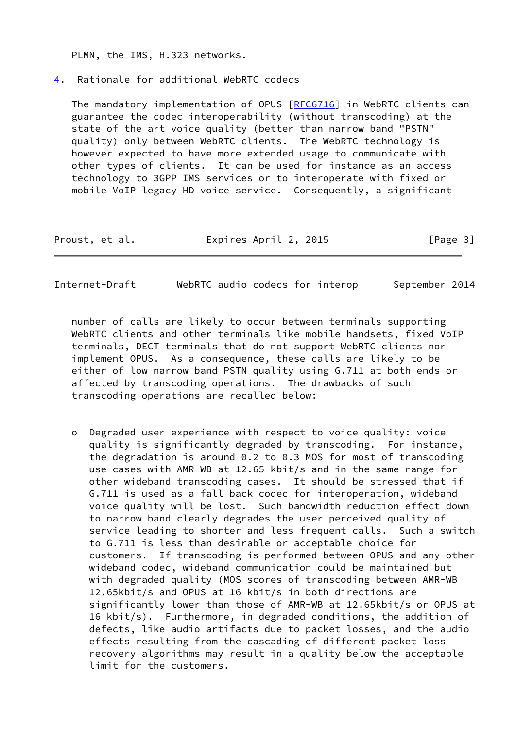PLMN, the IMS, H.323 networks.

## <span id="page-3-0"></span>[4](#page-3-0). Rationale for additional WebRTC codecs

 The mandatory implementation of OPUS [\[RFC6716](https://datatracker.ietf.org/doc/pdf/rfc6716)] in WebRTC clients can guarantee the codec interoperability (without transcoding) at the state of the art voice quality (better than narrow band "PSTN" quality) only between WebRTC clients. The WebRTC technology is however expected to have more extended usage to communicate with other types of clients. It can be used for instance as an access technology to 3GPP IMS services or to interoperate with fixed or mobile VoIP legacy HD voice service. Consequently, a significant

| Proust, et al. | Expires April 2, 2015 | [Page 3] |
|----------------|-----------------------|----------|
|----------------|-----------------------|----------|

Internet-Draft WebRTC audio codecs for interop September 2014

 number of calls are likely to occur between terminals supporting WebRTC clients and other terminals like mobile handsets, fixed VoIP terminals, DECT terminals that do not support WebRTC clients nor implement OPUS. As a consequence, these calls are likely to be either of low narrow band PSTN quality using G.711 at both ends or affected by transcoding operations. The drawbacks of such transcoding operations are recalled below:

 o Degraded user experience with respect to voice quality: voice quality is significantly degraded by transcoding. For instance, the degradation is around 0.2 to 0.3 MOS for most of transcoding use cases with AMR-WB at 12.65 kbit/s and in the same range for other wideband transcoding cases. It should be stressed that if G.711 is used as a fall back codec for interoperation, wideband voice quality will be lost. Such bandwidth reduction effect down to narrow band clearly degrades the user perceived quality of service leading to shorter and less frequent calls. Such a switch to G.711 is less than desirable or acceptable choice for customers. If transcoding is performed between OPUS and any other wideband codec, wideband communication could be maintained but with degraded quality (MOS scores of transcoding between AMR-WB 12.65kbit/s and OPUS at 16 kbit/s in both directions are significantly lower than those of AMR-WB at 12.65kbit/s or OPUS at 16 kbit/s). Furthermore, in degraded conditions, the addition of defects, like audio artifacts due to packet losses, and the audio effects resulting from the cascading of different packet loss recovery algorithms may result in a quality below the acceptable limit for the customers.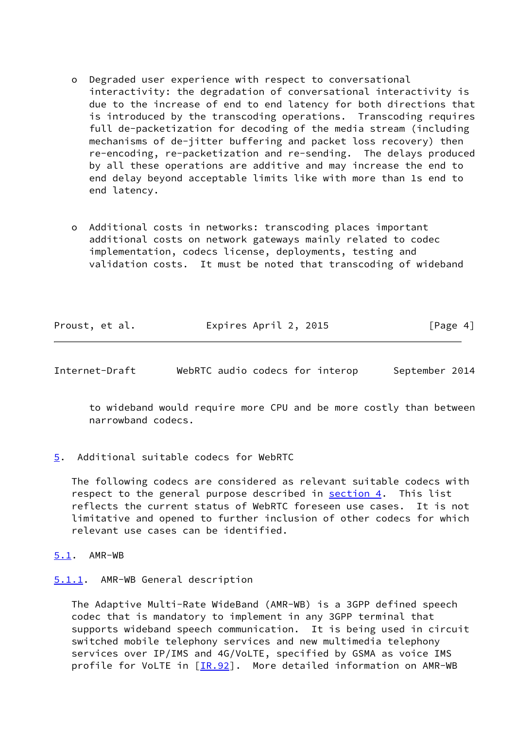- o Degraded user experience with respect to conversational interactivity: the degradation of conversational interactivity is due to the increase of end to end latency for both directions that is introduced by the transcoding operations. Transcoding requires full de-packetization for decoding of the media stream (including mechanisms of de-jitter buffering and packet loss recovery) then re-encoding, re-packetization and re-sending. The delays produced by all these operations are additive and may increase the end to end delay beyond acceptable limits like with more than 1s end to end latency.
- o Additional costs in networks: transcoding places important additional costs on network gateways mainly related to codec implementation, codecs license, deployments, testing and validation costs. It must be noted that transcoding of wideband

|  | Proust, et al. | Expires April 2, 2015 | [Page 4] |
|--|----------------|-----------------------|----------|
|--|----------------|-----------------------|----------|

<span id="page-4-1"></span>Internet-Draft WebRTC audio codecs for interop September 2014

 to wideband would require more CPU and be more costly than between narrowband codecs.

<span id="page-4-0"></span>[5](#page-4-0). Additional suitable codecs for WebRTC

 The following codecs are considered as relevant suitable codecs with respect to the general purpose described in [section 4.](#page-3-0) This list reflects the current status of WebRTC foreseen use cases. It is not limitative and opened to further inclusion of other codecs for which relevant use cases can be identified.

- <span id="page-4-2"></span>[5.1](#page-4-2). AMR-WB
- <span id="page-4-3"></span>[5.1.1](#page-4-3). AMR-WB General description

 The Adaptive Multi-Rate WideBand (AMR-WB) is a 3GPP defined speech codec that is mandatory to implement in any 3GPP terminal that supports wideband speech communication. It is being used in circuit switched mobile telephony services and new multimedia telephony services over IP/IMS and 4G/VoLTE, specified by GSMA as voice IMS profile for VoLTE in  $[IR.92]$ . More detailed information on AMR-WB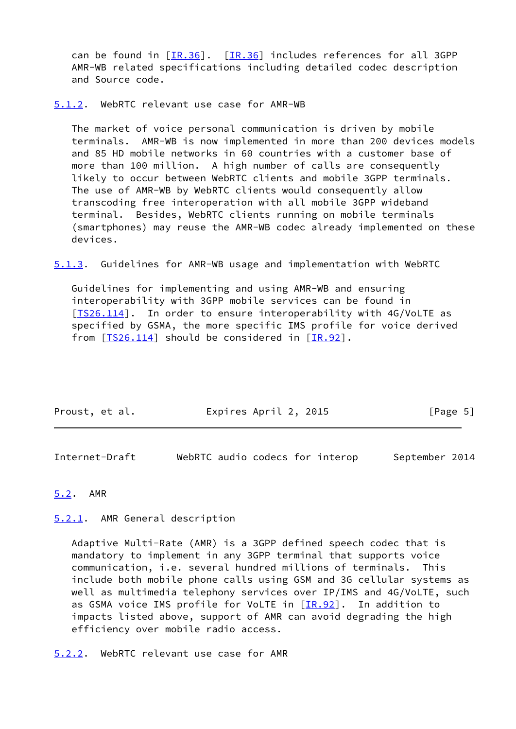can be found in [\[IR.36](#page-8-6)]. [[IR.36\]](#page-8-6) includes references for all 3GPP AMR-WB related specifications including detailed codec description and Source code.

<span id="page-5-0"></span>[5.1.2](#page-5-0). WebRTC relevant use case for AMR-WB

 The market of voice personal communication is driven by mobile terminals. AMR-WB is now implemented in more than 200 devices models and 85 HD mobile networks in 60 countries with a customer base of more than 100 million. A high number of calls are consequently likely to occur between WebRTC clients and mobile 3GPP terminals. The use of AMR-WB by WebRTC clients would consequently allow transcoding free interoperation with all mobile 3GPP wideband terminal. Besides, WebRTC clients running on mobile terminals (smartphones) may reuse the AMR-WB codec already implemented on these devices.

<span id="page-5-5"></span>[5.1.3](#page-5-5). Guidelines for AMR-WB usage and implementation with WebRTC

 Guidelines for implementing and using AMR-WB and ensuring interoperability with 3GPP mobile services can be found in [IS26.114]. In order to ensure interoperability with 4G/VoLTE as specified by GSMA, the more specific IMS profile for voice derived from  $[TS26.114]$  $[TS26.114]$  should be considered in  $[IR.92]$  $[IR.92]$ .

| Proust, et al. | Expires April 2, 2015 | [Page 5] |
|----------------|-----------------------|----------|
|                |                       |          |

<span id="page-5-2"></span>Internet-Draft WebRTC audio codecs for interop September 2014

## <span id="page-5-1"></span>[5.2](#page-5-1). AMR

<span id="page-5-3"></span>[5.2.1](#page-5-3). AMR General description

 Adaptive Multi-Rate (AMR) is a 3GPP defined speech codec that is mandatory to implement in any 3GPP terminal that supports voice communication, i.e. several hundred millions of terminals. This include both mobile phone calls using GSM and 3G cellular systems as well as multimedia telephony services over IP/IMS and 4G/VoLTE, such as GSMA voice IMS profile for VoLTE in [\[IR.92](#page-8-5)]. In addition to impacts listed above, support of AMR can avoid degrading the high efficiency over mobile radio access.

<span id="page-5-4"></span>[5.2.2](#page-5-4). WebRTC relevant use case for AMR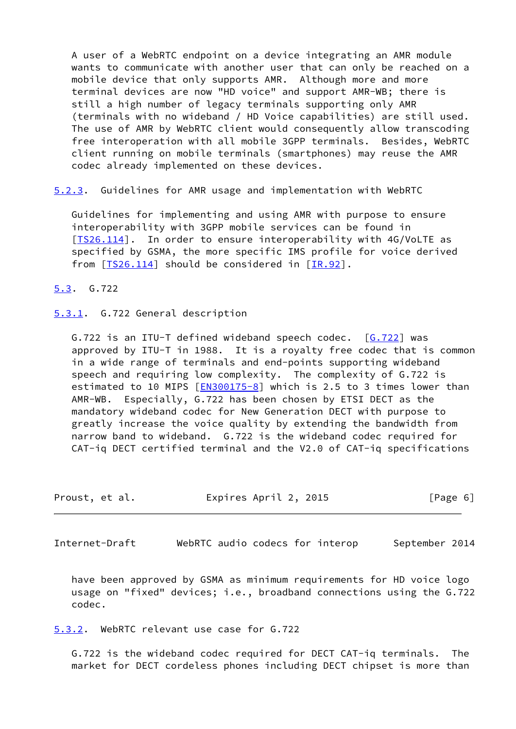A user of a WebRTC endpoint on a device integrating an AMR module wants to communicate with another user that can only be reached on a mobile device that only supports AMR. Although more and more terminal devices are now "HD voice" and support AMR-WB; there is still a high number of legacy terminals supporting only AMR (terminals with no wideband / HD Voice capabilities) are still used. The use of AMR by WebRTC client would consequently allow transcoding free interoperation with all mobile 3GPP terminals. Besides, WebRTC client running on mobile terminals (smartphones) may reuse the AMR codec already implemented on these devices.

<span id="page-6-4"></span>[5.2.3](#page-6-4). Guidelines for AMR usage and implementation with WebRTC

 Guidelines for implementing and using AMR with purpose to ensure interoperability with 3GPP mobile services can be found in [\[TS26.114](#page-9-1)]. In order to ensure interoperability with 4G/VoLTE as specified by GSMA, the more specific IMS profile for voice derived from  $[TS26.114]$  $[TS26.114]$  should be considered in  $[TR.92]$ .

<span id="page-6-0"></span>[5.3](#page-6-0). G.722

<span id="page-6-1"></span>[5.3.1](#page-6-1). G.722 General description

G.722 is an ITU-T defined wideband speech codec. [[G.722\]](#page-8-7) was approved by ITU-T in 1988. It is a royalty free codec that is common in a wide range of terminals and end-points supporting wideband speech and requiring low complexity. The complexity of G.722 is estimated to 10 MIPS  $[EN300175-8]$  which is 2.5 to 3 times lower than AMR-WB. Especially, G.722 has been chosen by ETSI DECT as the mandatory wideband codec for New Generation DECT with purpose to greatly increase the voice quality by extending the bandwidth from narrow band to wideband. G.722 is the wideband codec required for CAT-iq DECT certified terminal and the V2.0 of CAT-iq specifications

| Proust, et al. | Expires April 2, 2015 | [Page 6] |
|----------------|-----------------------|----------|
|----------------|-----------------------|----------|

<span id="page-6-3"></span>Internet-Draft WebRTC audio codecs for interop September 2014

 have been approved by GSMA as minimum requirements for HD voice logo usage on "fixed" devices; i.e., broadband connections using the G.722 codec.

<span id="page-6-2"></span>[5.3.2](#page-6-2). WebRTC relevant use case for G.722

 G.722 is the wideband codec required for DECT CAT-iq terminals. The market for DECT cordeless phones including DECT chipset is more than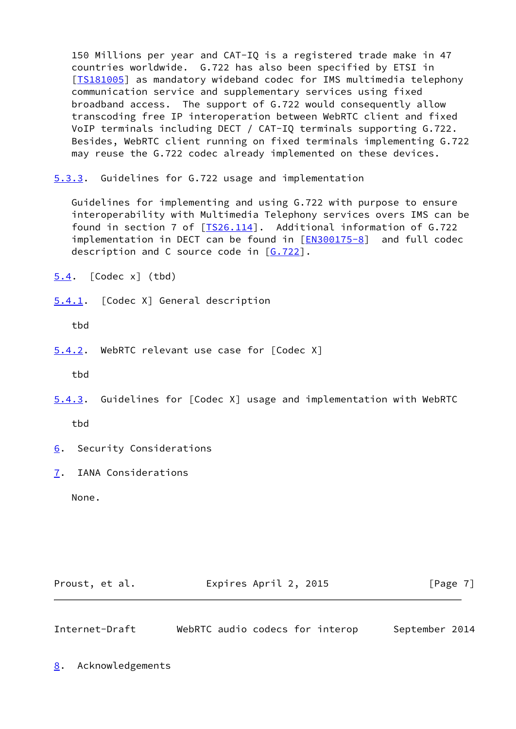150 Millions per year and CAT-IQ is a registered trade make in 47 countries worldwide. G.722 has also been specified by ETSI in [\[TS181005](#page-8-9)] as mandatory wideband codec for IMS multimedia telephony communication service and supplementary services using fixed broadband access. The support of G.722 would consequently allow transcoding free IP interoperation between WebRTC client and fixed VoIP terminals including DECT / CAT-IQ terminals supporting G.722. Besides, WebRTC client running on fixed terminals implementing G.722 may reuse the G.722 codec already implemented on these devices.

<span id="page-7-0"></span>[5.3.3](#page-7-0). Guidelines for G.722 usage and implementation

 Guidelines for implementing and using G.722 with purpose to ensure interoperability with Multimedia Telephony services overs IMS can be found in section 7 of  $[TS26.114]$  $[TS26.114]$ . Additional information of G.722 implementation in DECT can be found in [\[EN300175-8](#page-8-8)] and full codec description and C source code in  $[6.722]$ .

<span id="page-7-1"></span>[5.4](#page-7-1). [Codec x] (tbd)

<span id="page-7-2"></span>[5.4.1](#page-7-2). [Codec X] General description

tbd

<span id="page-7-3"></span>[5.4.2](#page-7-3). WebRTC relevant use case for [Codec X]

tbd

<span id="page-7-8"></span>[5.4.3](#page-7-8). Guidelines for [Codec X] usage and implementation with WebRTC

tbd

- <span id="page-7-4"></span>[6](#page-7-4). Security Considerations
- <span id="page-7-5"></span>[7](#page-7-5). IANA Considerations

None.

| Proust, et al. | Expires April 2, 2015 | [Page 7] |
|----------------|-----------------------|----------|
|----------------|-----------------------|----------|

<span id="page-7-7"></span>Internet-Draft WebRTC audio codecs for interop September 2014

<span id="page-7-6"></span>[8](#page-7-6). Acknowledgements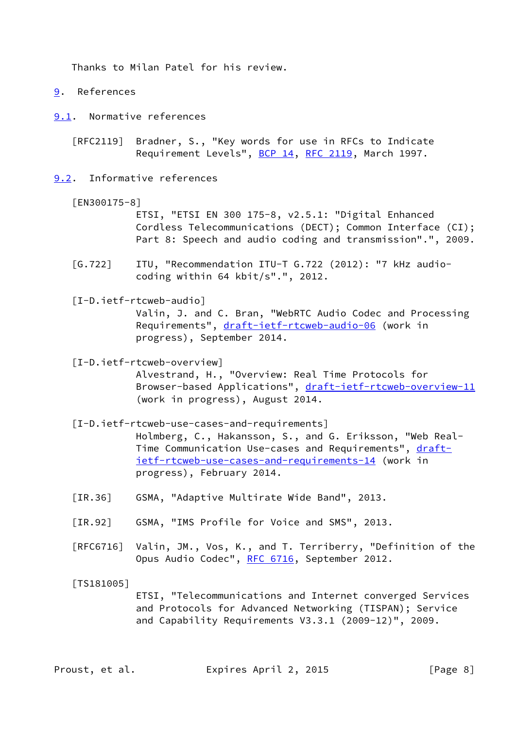Thanks to Milan Patel for his review.

- <span id="page-8-1"></span>[9](#page-8-1). References
- <span id="page-8-2"></span>[9.1](#page-8-2). Normative references

 [RFC2119] Bradner, S., "Key words for use in RFCs to Indicate Requirement Levels", [BCP 14](https://datatracker.ietf.org/doc/pdf/bcp14), [RFC 2119](https://datatracker.ietf.org/doc/pdf/rfc2119), March 1997.

- <span id="page-8-8"></span><span id="page-8-3"></span>[9.2](#page-8-3). Informative references
	- [EN300175-8]

 ETSI, "ETSI EN 300 175-8, v2.5.1: "Digital Enhanced Cordless Telecommunications (DECT); Common Interface (CI); Part 8: Speech and audio coding and transmission".", 2009.

- <span id="page-8-7"></span> [G.722] ITU, "Recommendation ITU-T G.722 (2012): "7 kHz audio coding within 64 kbit/s".", 2012.
- <span id="page-8-0"></span> [I-D.ietf-rtcweb-audio] Valin, J. and C. Bran, "WebRTC Audio Codec and Processing Requirements", [draft-ietf-rtcweb-audio-06](https://datatracker.ietf.org/doc/pdf/draft-ietf-rtcweb-audio-06) (work in progress), September 2014.

<span id="page-8-4"></span> [I-D.ietf-rtcweb-overview] Alvestrand, H., "Overview: Real Time Protocols for Browser-based Applications", [draft-ietf-rtcweb-overview-11](https://datatracker.ietf.org/doc/pdf/draft-ietf-rtcweb-overview-11) (work in progress), August 2014.

- [I-D.ietf-rtcweb-use-cases-and-requirements] Holmberg, C., Hakansson, S., and G. Eriksson, "Web Real Time Communication Use-cases and Requirements", [draft](https://datatracker.ietf.org/doc/pdf/draft-ietf-rtcweb-use-cases-and-requirements-14) [ietf-rtcweb-use-cases-and-requirements-14](https://datatracker.ietf.org/doc/pdf/draft-ietf-rtcweb-use-cases-and-requirements-14) (work in progress), February 2014.
- <span id="page-8-6"></span>[IR.36] GSMA, "Adaptive Multirate Wide Band", 2013.
- <span id="page-8-5"></span>[IR.92] GSMA, "IMS Profile for Voice and SMS", 2013.
- [RFC6716] Valin, JM., Vos, K., and T. Terriberry, "Definition of the Opus Audio Codec", [RFC 6716](https://datatracker.ietf.org/doc/pdf/rfc6716), September 2012.
- <span id="page-8-9"></span>[TS181005]

 ETSI, "Telecommunications and Internet converged Services and Protocols for Advanced Networking (TISPAN); Service and Capability Requirements V3.3.1 (2009-12)", 2009.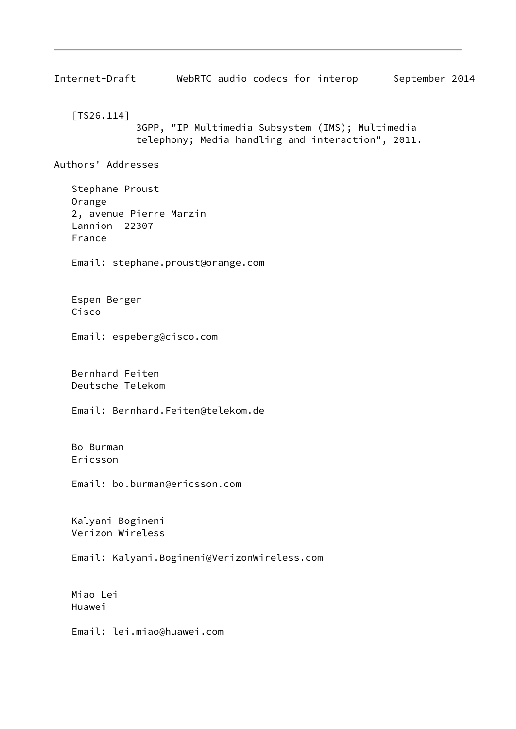<span id="page-9-1"></span><span id="page-9-0"></span>Internet-Draft WebRTC audio codecs for interop September 2014 [TS26.114] 3GPP, "IP Multimedia Subsystem (IMS); Multimedia telephony; Media handling and interaction", 2011. Authors' Addresses Stephane Proust Orange 2, avenue Pierre Marzin Lannion 22307 France Email: stephane.proust@orange.com Espen Berger Cisco Email: espeberg@cisco.com Bernhard Feiten Deutsche Telekom Email: Bernhard.Feiten@telekom.de Bo Burman Ericsson Email: bo.burman@ericsson.com Kalyani Bogineni Verizon Wireless Email: Kalyani.Bogineni@VerizonWireless.com Miao Lei Huawei Email: lei.miao@huawei.com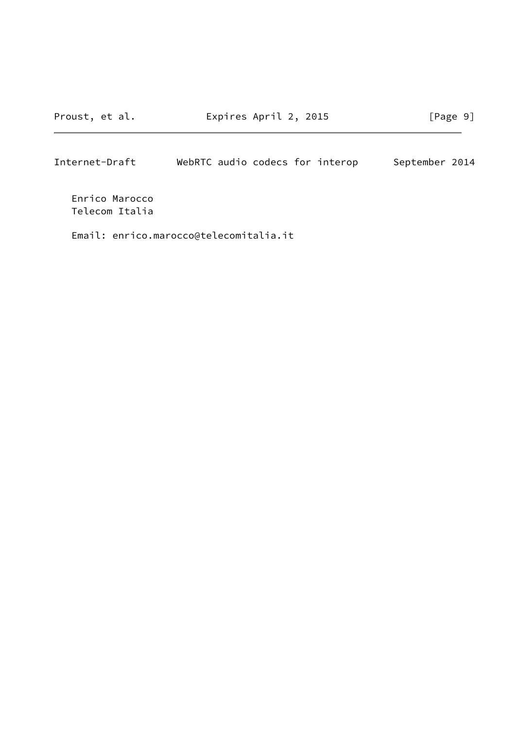Proust, et al. Expires April 2, 2015 [Page 9]

Internet-Draft WebRTC audio codecs for interop September 2014

 Enrico Marocco Telecom Italia

Email: enrico.marocco@telecomitalia.it